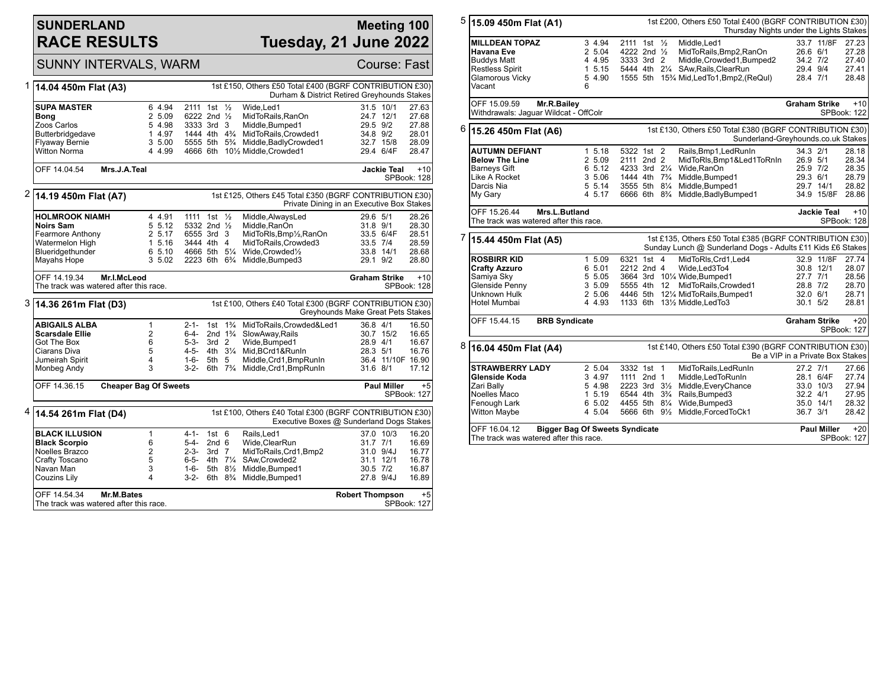## **SUNDERLAND RACE RESULTS**

### **Meeting 100 Tuesday, 21 June 2022**

|   | <b>SUNNY INTERVALS, WARM</b>                                                                                                     |                                                                                                     |                                                                                                                               |                                                   |                                      |                                                                                                                                                                                           |                                                                     |                                     | Course: Fast                                                   |
|---|----------------------------------------------------------------------------------------------------------------------------------|-----------------------------------------------------------------------------------------------------|-------------------------------------------------------------------------------------------------------------------------------|---------------------------------------------------|--------------------------------------|-------------------------------------------------------------------------------------------------------------------------------------------------------------------------------------------|---------------------------------------------------------------------|-------------------------------------|----------------------------------------------------------------|
|   | 1st £150, Others £50 Total £400 (BGRF CONTRIBUTION £30)<br>1 14.04 450m Flat (A3)<br>Durham & District Retired Greyhounds Stakes |                                                                                                     |                                                                                                                               |                                                   |                                      |                                                                                                                                                                                           |                                                                     |                                     |                                                                |
|   | <b>SUPA MASTER</b><br>Bong<br>Zoos Carlos<br>Butterbridgedave<br><b>Flyaway Bernie</b><br><b>Witton Norma</b>                    | 6 4.94<br>2 5.09<br>5 4.98<br>1 4.97<br>3 5.00<br>4 4.99                                            | 2111<br>6222 2nd 1/2<br>3333 3rd 3                                                                                            | 1st $\frac{1}{2}$                                 |                                      | Wide.Led1<br>MidToRails, RanOn<br>Middle, Bumped1<br>1444 4th 4 <sup>3</sup> / <sub>4</sub> MidToRails, Crowded 1<br>5555 5th 5% Middle, Badly Crowded1<br>4666 6th 101/2 Middle.Crowded1 | 24.7 12/1<br>29.5 9/2<br>34.8 9/2                                   | 31.5 10/1<br>32.7 15/8<br>29.4 6/4F | 27.63<br>27.68<br>27.88<br>28.01<br>28.09<br>28.47             |
|   | Mrs.J.A.Teal<br><b>Jackie Teal</b><br>OFF 14.04.54<br>$+10$<br>SPBook: 128                                                       |                                                                                                     |                                                                                                                               |                                                   |                                      |                                                                                                                                                                                           |                                                                     |                                     |                                                                |
| 2 | 1st £125, Others £45 Total £350 (BGRF CONTRIBUTION £30)<br>14.19 450m Flat (A7)<br>Private Dining in an Executive Box Stakes     |                                                                                                     |                                                                                                                               |                                                   |                                      |                                                                                                                                                                                           |                                                                     |                                     |                                                                |
|   | <b>HOLMROOK NIAMH</b><br><b>Noirs Sam</b><br>Fearmore Anthony<br>Watermelon High<br>Blueridgethunder<br>Mayahs Hope              | 4 4.91<br>5 5.12<br>2 5.17<br>1 5.16<br>6 5.10<br>3 5.02                                            | 1111 1st 1/2<br>5332 2nd 1/2<br>6555 3rd 3<br>3444 4th 4<br>4666 5th $5\frac{1}{4}$<br>2223 6th 6 <sup>3</sup> / <sub>4</sub> |                                                   |                                      | Middle, AlwaysLed<br>Middle.RanOn<br>MidToRls, Bmp1/2, RanOn<br>MidToRails.Crowded3<br>Wide.Crowded1/2<br>Middle, Bumped3                                                                 | 29.6 5/1<br>31.8 9/1<br>33.5 7/4<br>33.8 14/1<br>29.1 9/2           | 33.5 6/4F                           | 28.26<br>28.30<br>28.51<br>28.59<br>28.68<br>28.80             |
|   | OFF 14.19.34<br>The track was watered after this race.                                                                           | Mr.I.McLeod                                                                                         |                                                                                                                               |                                                   |                                      |                                                                                                                                                                                           | <b>Graham Strike</b>                                                |                                     | $+10$<br>SPBook: 128                                           |
| 3 | 1st £100, Others £40 Total £300 (BGRF CONTRIBUTION £30)<br>14.36 261m Flat (D3)<br>Greyhounds Make Great Pets Stakes             |                                                                                                     |                                                                                                                               |                                                   |                                      |                                                                                                                                                                                           |                                                                     |                                     |                                                                |
|   | ABIGAILS ALBA<br><b>Scarsdale Ellie</b><br>Got The Box<br>Ciarans Diva<br>Jumeirah Spirit<br>Monbeg Andy                         | $\mathbf{1}$<br>$\overline{2}$<br>6<br>5<br>4<br>3                                                  | $2 - 1 -$<br>$6 - 4 -$<br>$5 - 3 -$<br>$4 - 5 -$<br>1-6-<br>$3-2-$                                                            | 1st<br>3rd <sub>2</sub><br>5th 5                  | $1\frac{3}{4}$<br>2nd $1\frac{3}{4}$ | MidToRails, Crowded&Led1<br>SlowAway, Rails<br>Wide, Bumped1<br>4th 31/4 Mid.BCrd1&RunIn<br>Middle, Crd1, BmpRunIn<br>6th 73/4 Middle, Crd1, BmpRunIn                                     | 36.8 4/1<br>28.9 4/1<br>28.3 5/1<br>$31.6$ $8/1$                    | 30.7 15/2                           | 16.50<br>16.65<br>16.67<br>16.76<br>36.4 11/10F 16.90<br>17.12 |
|   | OFF 14.36.15<br><b>Cheaper Bag Of Sweets</b><br><b>Paul Miller</b><br>SPBook: 127                                                |                                                                                                     |                                                                                                                               |                                                   |                                      |                                                                                                                                                                                           |                                                                     |                                     | $+5$                                                           |
| 4 | 14.54 261m Flat (D4)                                                                                                             | 1st £100, Others £40 Total £300 (BGRF CONTRIBUTION £30)<br>Executive Boxes @ Sunderland Dogs Stakes |                                                                                                                               |                                                   |                                      |                                                                                                                                                                                           |                                                                     |                                     |                                                                |
|   | <b>BLACK ILLUSION</b><br><b>Black Scorpio</b><br>Noelles Brazco<br>Crafty Toscano<br>Navan Man<br><b>Couzins Lily</b>            | $\mathbf{1}$<br>6<br>$\overline{2}$<br>5<br>3<br>4                                                  | $4 - 1 -$<br>5-4-<br>$2 - 3 -$<br>6-5- 4th $7\frac{1}{4}$<br>1-6-<br>$3-2-$                                                   | 1st <sub>6</sub><br>2nd <sub>6</sub><br>$3rd$ $7$ | 5th 8½<br>6th $8\frac{3}{4}$         | Rails, Led1<br>Wide.ClearRun<br>MidToRails, Crd1, Bmp2<br>SAw.Crowded2<br>Middle, Bumped1<br>Middle, Bumped1                                                                              | $31.7$ $7/1$<br>31.0 9/4J<br>31.1 12/1<br>$30.5$ $7/2$<br>27.8 9/4J | 37.0 10/3                           | 16.20<br>16.69<br>16.77<br>16.78<br>16.87<br>16.89             |
|   | OFF 14.54.34<br>The track was watered after this race.                                                                           | Mr.M.Bates                                                                                          |                                                                                                                               |                                                   |                                      |                                                                                                                                                                                           | <b>Robert Thompson</b>                                              |                                     | $+5$<br>SPBook: 127                                            |

| 5 | 15.09 450m Flat (A1)                                                                                                                                            |                                                                                                   |                                                                                                                                                |  |  | 1st £200, Others £50 Total £400 (BGRF CONTRIBUTION £30)<br>Thursday Nights under the Lights Stakes                                                                    |                                              |                                                           |                                                                            |  |
|---|-----------------------------------------------------------------------------------------------------------------------------------------------------------------|---------------------------------------------------------------------------------------------------|------------------------------------------------------------------------------------------------------------------------------------------------|--|--|-----------------------------------------------------------------------------------------------------------------------------------------------------------------------|----------------------------------------------|-----------------------------------------------------------|----------------------------------------------------------------------------|--|
|   | <b>MILLDEAN TOPAZ</b><br>Havana Eve<br><b>Buddys Matt</b><br><b>Restless Spirit</b><br><b>Glamorous Vicky</b><br>Vacant                                         | 3 4.94<br>2 5.04<br>4 4.95<br>1, 5.15<br>5 4.90<br>6                                              | 2111 1st 1/2<br>4222 2nd 1/2<br>3333 3rd 2                                                                                                     |  |  | Middle.Led1<br>MidToRails, Bmp2, RanOn<br>Middle, Crowded1, Bumped2<br>5444 4th 21/4 SAw, Rails, Clear Run<br>1555 5th 15% Mid, Led To 1, Bmp2, (ReQul)               | 26.6 6/1<br>34.2 7/2<br>29.4 9/4<br>28.4 7/1 | 33.7 11/8F                                                | 27.23<br>27.28<br>27.40<br>27.41<br>28.48                                  |  |
|   | OFF 15.09.59<br>Mr.R.Bailey<br>Withdrawals: Jaquar Wildcat - OffColr                                                                                            |                                                                                                   |                                                                                                                                                |  |  |                                                                                                                                                                       | <b>Graham Strike</b>                         |                                                           | $+10$<br>SPBook: 122                                                       |  |
| 6 | 15.26 450m Flat (A6)                                                                                                                                            | 1st £130, Others £50 Total £380 (BGRF CONTRIBUTION £30)<br>Sunderland-Greyhounds.co.uk Stakes     |                                                                                                                                                |  |  |                                                                                                                                                                       |                                              |                                                           |                                                                            |  |
|   | <b>AUTUMN DEFIANT</b><br><b>Below The Line</b><br><b>Barneys Gift</b><br>Like A Rocket<br>Darcis Nia<br>My Gary                                                 | 1, 5.18<br>2 5.09<br>6 5.12<br>3 5.06<br>5 5.14<br>4 5.17                                         | 5322 1st 2<br>2111 2nd 2<br>4233 3rd 21/4<br>1444 4th 7 <sup>3</sup> / <sub>4</sub><br>3555 5th 81/4<br>6666 6th 8 <sup>3</sup> / <sub>4</sub> |  |  | Rails, Bmp1, Led RunIn<br>MidToRIs, Bmp1&Led1ToRnIn<br>Wide, RanOn<br>Middle, Bumped1<br>Middle, Bumped1<br>Middle, Badly Bumped1                                     | 34.3 2/1<br>26.9 5/1<br>25.9 7/2<br>29.3 6/1 | 29.7 14/1<br>34.9 15/8F                                   | 28.18<br>28.34<br>28.35<br>28.79<br>28.82<br>28.86                         |  |
|   | OFF 15.26.44<br>Mrs.L.Butland<br>The track was watered after this race.                                                                                         |                                                                                                   |                                                                                                                                                |  |  |                                                                                                                                                                       |                                              | <b>Jackie Teal</b>                                        | $+10$<br>SPBook: 128                                                       |  |
| 7 | 15.44 450m Flat (A5)                                                                                                                                            |                                                                                                   |                                                                                                                                                |  |  | 1st £135, Others £50 Total £385 (BGRF CONTRIBUTION £30)<br>Sunday Lunch @ Sunderland Dogs - Adults £11 Kids £6 Stakes                                                 |                                              |                                                           |                                                                            |  |
|   | <b>ROSBIRR KID</b><br><b>Crafty Azzuro</b><br>Samiya Sky<br>Glenside Penny<br>Unknown Hulk<br>Hotel Mumbai                                                      | 1 5.09<br>6 5.01<br>5 5.05<br>3 5.09<br>2 5.06<br>4 4.93                                          | 6321 1st 4<br>2212 2nd 4<br>5555 4th 12                                                                                                        |  |  | MidToRIs, Crd1, Led4<br>Wide.Led3To4<br>3664 3rd 101/4 Wide, Bumped1<br>MidToRails, Crowded1<br>4446 5th 121/4 MidToRails, Bumped1<br>1133 6th 131/2 Middle, Led To 3 | 27.7 7/1<br>28.8 7/2<br>32.0 6/1<br>30.1 5/2 | 32.9 11/8F<br>30.8 12/1                                   | 27.74<br>28.07<br>28.56<br>28.70<br>28.71<br>28.81                         |  |
|   | OFF 15.44.15<br><b>BRB Syndicate</b>                                                                                                                            |                                                                                                   |                                                                                                                                                |  |  |                                                                                                                                                                       | <b>Graham Strike</b>                         |                                                           | $+20$<br>SPBook: 127                                                       |  |
| 8 | 16.04 450m Flat (A4)                                                                                                                                            |                                                                                                   |                                                                                                                                                |  |  | 1st £140, Others £50 Total £390 (BGRF CONTRIBUTION £30)<br>Be a VIP in a Private Box Stakes                                                                           |                                              |                                                           |                                                                            |  |
|   | <b>STRAWBERRY LADY</b><br>Glenside Koda<br>Zari Bally<br>Noelles Maco<br>Fenough Lark<br>Witton Maybe<br>OFF 16.04.12<br>The track was watered after this race. | 2 5.04<br>3 4.97<br>5 4.98<br>1 5.19<br>6 5.02<br>4 5.04<br><b>Bigger Bag Of Sweets Syndicate</b> | 3332 1st 1<br>1111 2nd 1<br>2223 3rd 31/2<br>6544 4th 3 <sup>3</sup> / <sub>4</sub><br>4455 5th 81/4<br>5666 6th 91/ <sub>2</sub>              |  |  | MidToRails, LedRunIn<br>Middle, Led To Run In<br>Middle, Every Chance<br>Rails, Bumped3<br>Wide, Bumped3<br>Middle, Forced ToCk1                                      | 27.2 7/1<br>32.2 4/1<br>36.7 3/1             | 28.1 6/4F<br>33.0 10/3<br>35.0 14/1<br><b>Paul Miller</b> | 27.66<br>27.74<br>27.94<br>27.95<br>28.32<br>28.42<br>$+20$<br>SPBook: 127 |  |